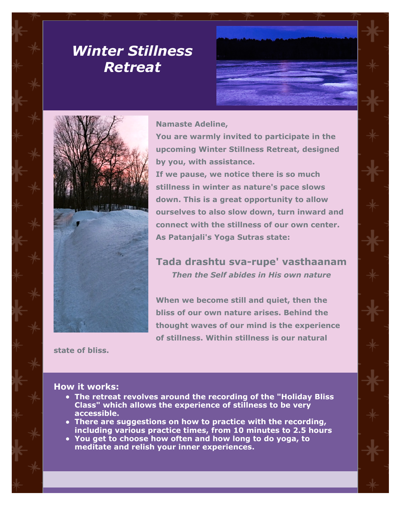# *Winter Stillness Retreat*



#### **Namaste Adeline,**

**You are warmly invited to participate in the upcoming Winter Stillness Retreat, designed by you, with assistance.**

**If we pause, we notice there is so much stillness in winter as nature's pace slows down. This is a great opportunity to allow ourselves to also slow down, turn inward and connect with the stillness of our own center. As Patanjali's Yoga Sutras state:**

## **Tada drashtu sva-rupe' vasthaanam** *Then the Self abides in His own nature*

**When we become still and quiet, then the bliss of our own nature arises. Behind the thought waves of our mind is the experience of stillness. Within stillness is our natural**

**state of bliss.**

#### **How it works:**

- **The retreat revolves around the recording of the "Holiday Bliss Class" which allows the experience of stillness to be very accessible.**
- **There are suggestions on how to practice with the recording, including various practice times, from 10 minutes to 2.5 hours**
- **You get to choose how often and how long to do yoga, to meditate and relish your inner experiences.**